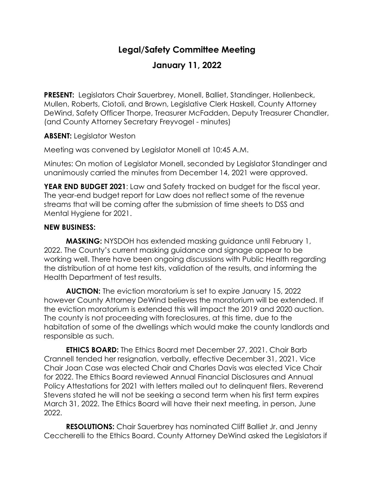## **Legal/Safety Committee Meeting**

## **January 11, 2022**

**PRESENT:** Legislators Chair Sauerbrey, Monell, Balliet, Standinger, Hollenbeck, Mullen, Roberts, Ciotoli, and Brown, Legislative Clerk Haskell, County Attorney DeWind, Safety Officer Thorpe, Treasurer McFadden, Deputy Treasurer Chandler, (and County Attorney Secretary Freyvogel - minutes)

## **ABSENT:** Legislator Weston

Meeting was convened by Legislator Monell at 10:45 A.M.

Minutes: On motion of Legislator Monell, seconded by Legislator Standinger and unanimously carried the minutes from December 14, 2021 were approved.

**YEAR END BUDGET 2021**: Law and Safety tracked on budget for the fiscal year. The year-end budget report for Law does not reflect some of the revenue streams that will be coming after the submission of time sheets to DSS and Mental Hygiene for 2021.

## **NEW BUSINESS:**

**MASKING:** NYSDOH has extended masking guidance until February 1, 2022. The County's current masking guidance and signage appear to be working well. There have been ongoing discussions with Public Health regarding the distribution of at home test kits, validation of the results, and informing the Health Department of test results.

**AUCTION:** The eviction moratorium is set to expire January 15, 2022 however County Attorney DeWind believes the moratorium will be extended. If the eviction moratorium is extended this will impact the 2019 and 2020 auction. The county is not proceeding with foreclosures, at this time, due to the habitation of some of the dwellings which would make the county landlords and responsible as such.

**ETHICS BOARD:** The Ethics Board met December 27, 2021. Chair Barb Crannell tended her resignation, verbally, effective December 31, 2021. Vice Chair Joan Case was elected Chair and Charles Davis was elected Vice Chair for 2022. The Ethics Board reviewed Annual Financial Disclosures and Annual Policy Attestations for 2021 with letters mailed out to delinquent filers. Reverend Stevens stated he will not be seeking a second term when his first term expires March 31, 2022. The Ethics Board will have their next meeting, in person, June 2022.

**RESOLUTIONS:** Chair Sauerbrey has nominated Cliff Balliet Jr. and Jenny Ceccherelli to the Ethics Board. County Attorney DeWind asked the Legislators if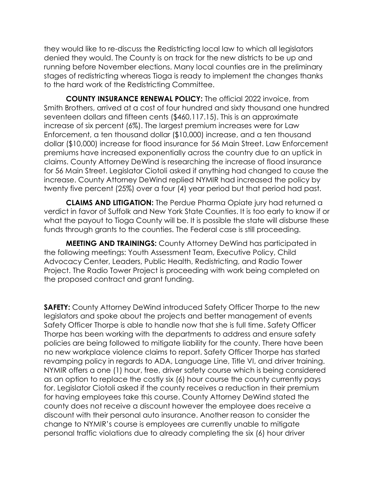they would like to re-discuss the Redistricting local law to which all legislators denied they would. The County is on track for the new districts to be up and running before November elections. Many local counties are in the preliminary stages of redistricting whereas Tioga is ready to implement the changes thanks to the hard work of the Redistricting Committee.

**COUNTY INSURANCE RENEWAL POLICY:** The official 2022 invoice, from Smith Brothers, arrived at a cost of four hundred and sixty thousand one hundred seventeen dollars and fifteen cents (\$460,117.15). This is an approximate increase of six percent (6%). The largest premium increases were for Law Enforcement, a ten thousand dollar (\$10,000) increase, and a ten thousand dollar (\$10,000) increase for flood insurance for 56 Main Street. Law Enforcement premiums have increased exponentially across the country due to an uptick in claims. County Attorney DeWind is researching the increase of flood insurance for 56 Main Street. Legislator Ciotoli asked if anything had changed to cause the increase. County Attorney DeWind replied NYMIR had increased the policy by twenty five percent (25%) over a four (4) year period but that period had past.

**CLAIMS AND LITIGATION:** The Perdue Pharma Opiate jury had returned a verdict in favor of Suffolk and New York State Counties. It is too early to know if or what the payout to Tioga County will be. It is possible the state will disburse these funds through grants to the counties. The Federal case is still proceeding.

**MEETING AND TRAININGS:** County Attorney DeWind has participated in the following meetings: Youth Assessment Team, Executive Policy, Child Advocacy Center, Leaders, Public Health, Redistricting, and Radio Tower Project. The Radio Tower Project is proceeding with work being completed on the proposed contract and grant funding.

**SAFETY:** County Attorney DeWind introduced Safety Officer Thorpe to the new legislators and spoke about the projects and better management of events Safety Officer Thorpe is able to handle now that she is full time. Safety Officer Thorpe has been working with the departments to address and ensure safety policies are being followed to mitigate liability for the county. There have been no new workplace violence claims to report. Safety Officer Thorpe has started revamping policy in regards to ADA, Language Line, Title VI, and driver training. NYMIR offers a one (1) hour, free, driver safety course which is being considered as an option to replace the costly six (6) hour course the county currently pays for. Legislator Ciotoli asked if the county receives a reduction in their premium for having employees take this course. County Attorney DeWind stated the county does not receive a discount however the employee does receive a discount with their personal auto insurance. Another reason to consider the change to NYMIR's course is employees are currently unable to mitigate personal traffic violations due to already completing the six (6) hour driver